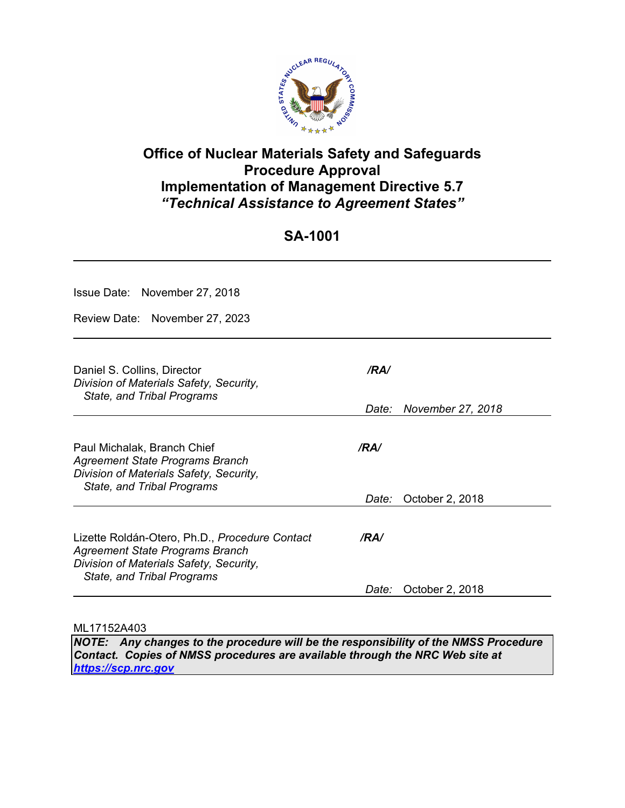

# **Office of Nuclear Materials Safety and Safeguards Procedure Approval Implementation of Management Directive 5.7**  *"Technical Assistance to Agreement States"*

# **SA-1001**

| Issue Date: November 27, 2018                                                                                                                                     |       |                   |  |  |  |  |  |
|-------------------------------------------------------------------------------------------------------------------------------------------------------------------|-------|-------------------|--|--|--|--|--|
| Review Date: November 27, 2023                                                                                                                                    |       |                   |  |  |  |  |  |
| Daniel S. Collins, Director<br>Division of Materials Safety, Security,<br>State, and Tribal Programs                                                              | /RA/  |                   |  |  |  |  |  |
|                                                                                                                                                                   | Date: | November 27, 2018 |  |  |  |  |  |
| Paul Michalak, Branch Chief<br>Agreement State Programs Branch<br>Division of Materials Safety, Security,<br><b>State, and Tribal Programs</b>                    | /RA/  |                   |  |  |  |  |  |
|                                                                                                                                                                   | Date: | October 2, 2018   |  |  |  |  |  |
| Lizette Roldán-Otero, Ph.D., Procedure Contact<br><b>Agreement State Programs Branch</b><br>Division of Materials Safety, Security,<br>State, and Tribal Programs | /RA/  |                   |  |  |  |  |  |
|                                                                                                                                                                   | Date: | October 2, 2018   |  |  |  |  |  |

ML17152A403

*NOTE: Any changes to the procedure will be the responsibility of the NMSS Procedure Contact. Copies of NMSS procedures are available through the NRC Web site at https://scp.nrc.gov*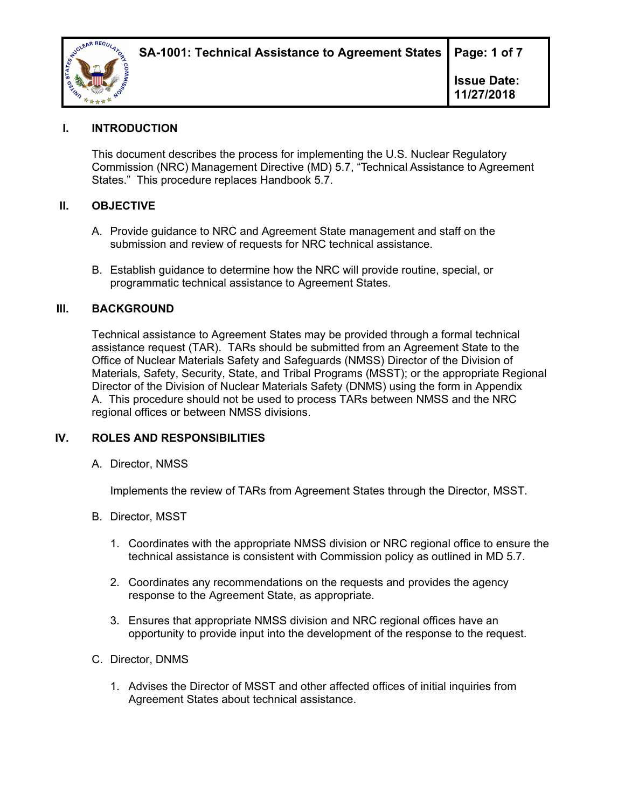

## **I. INTRODUCTION**

This document describes the process for implementing the U.S. Nuclear Regulatory Commission (NRC) Management Directive (MD) 5.7, "Technical Assistance to Agreement States." This procedure replaces Handbook 5.7.

#### **II. OBJECTIVE**

- A. Provide guidance to NRC and Agreement State management and staff on the submission and review of requests for NRC technical assistance.
- B. Establish guidance to determine how the NRC will provide routine, special, or programmatic technical assistance to Agreement States.

#### **III. BACKGROUND**

Technical assistance to Agreement States may be provided through a formal technical assistance request (TAR). TARs should be submitted from an Agreement State to the Office of Nuclear Materials Safety and Safeguards (NMSS) Director of the Division of Materials, Safety, Security, State, and Tribal Programs (MSST); or the appropriate Regional Director of the Division of Nuclear Materials Safety (DNMS) using the form in Appendix A. This procedure should not be used to process TARs between NMSS and the NRC regional offices or between NMSS divisions.

#### **IV. ROLES AND RESPONSIBILITIES**

A. Director, NMSS

Implements the review of TARs from Agreement States through the Director, MSST.

- B. Director, MSST
	- 1. Coordinates with the appropriate NMSS division or NRC regional office to ensure the technical assistance is consistent with Commission policy as outlined in MD 5.7.
	- 2. Coordinates any recommendations on the requests and provides the agency response to the Agreement State, as appropriate.
	- 3. Ensures that appropriate NMSS division and NRC regional offices have an opportunity to provide input into the development of the response to the request.
- C. Director, DNMS
	- 1. Advises the Director of MSST and other affected offices of initial inquiries from Agreement States about technical assistance.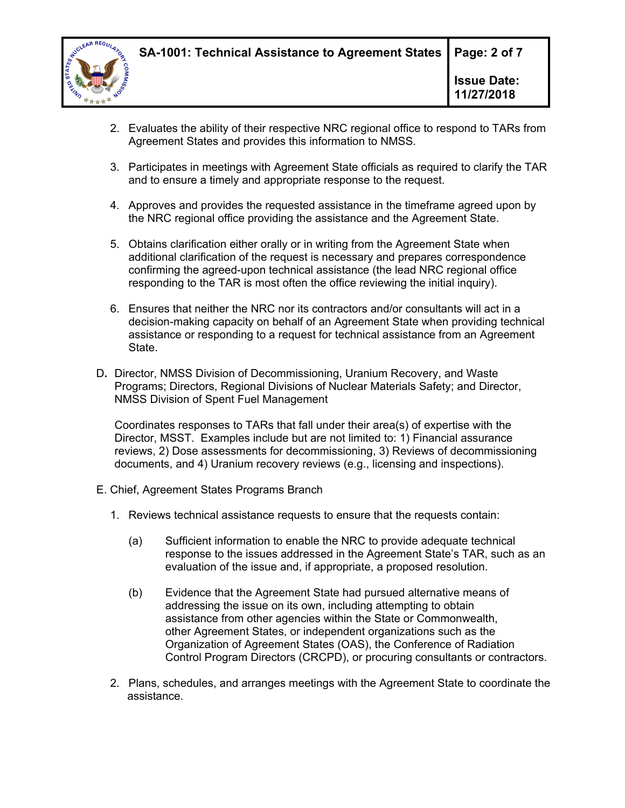

- 2. Evaluates the ability of their respective NRC regional office to respond to TARs from Agreement States and provides this information to NMSS.
- 3. Participates in meetings with Agreement State officials as required to clarify the TAR and to ensure a timely and appropriate response to the request.
- 4. Approves and provides the requested assistance in the timeframe agreed upon by the NRC regional office providing the assistance and the Agreement State.
- 5. Obtains clarification either orally or in writing from the Agreement State when additional clarification of the request is necessary and prepares correspondence confirming the agreed-upon technical assistance (the lead NRC regional office responding to the TAR is most often the office reviewing the initial inquiry).
- 6. Ensures that neither the NRC nor its contractors and/or consultants will act in a decision-making capacity on behalf of an Agreement State when providing technical assistance or responding to a request for technical assistance from an Agreement State.
- D**.** Director, NMSS Division of Decommissioning, Uranium Recovery, and Waste Programs; Directors, Regional Divisions of Nuclear Materials Safety; and Director, NMSS Division of Spent Fuel Management

Coordinates responses to TARs that fall under their area(s) of expertise with the Director, MSST. Examples include but are not limited to: 1) Financial assurance reviews, 2) Dose assessments for decommissioning, 3) Reviews of decommissioning documents, and 4) Uranium recovery reviews (e.g., licensing and inspections).

- E. Chief, Agreement States Programs Branch
	- 1. Reviews technical assistance requests to ensure that the requests contain:
		- (a) Sufficient information to enable the NRC to provide adequate technical response to the issues addressed in the Agreement State's TAR, such as an evaluation of the issue and, if appropriate, a proposed resolution.
		- (b) Evidence that the Agreement State had pursued alternative means of addressing the issue on its own, including attempting to obtain assistance from other agencies within the State or Commonwealth, other Agreement States, or independent organizations such as the Organization of Agreement States (OAS), the Conference of Radiation Control Program Directors (CRCPD), or procuring consultants or contractors.
	- 2. Plans, schedules, and arranges meetings with the Agreement State to coordinate the assistance.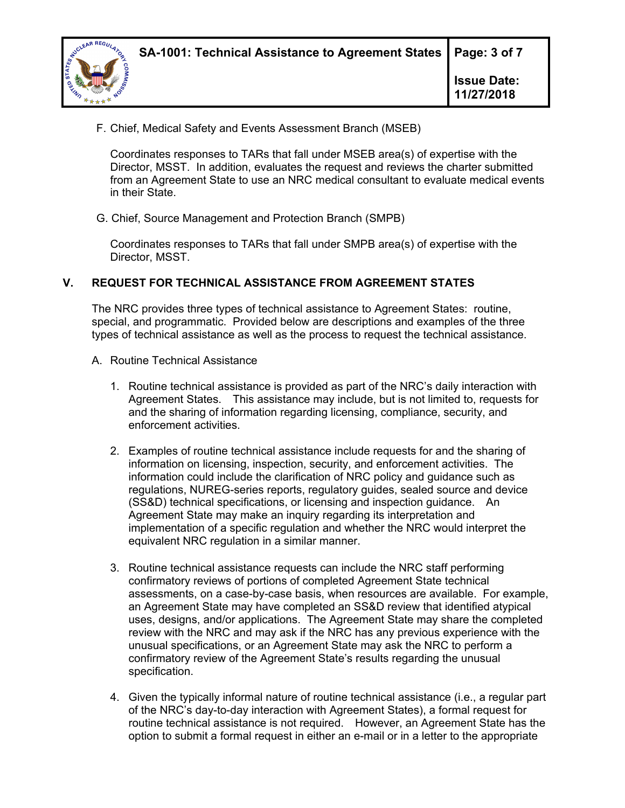

F. Chief, Medical Safety and Events Assessment Branch (MSEB)

Coordinates responses to TARs that fall under MSEB area(s) of expertise with the Director, MSST. In addition, evaluates the request and reviews the charter submitted from an Agreement State to use an NRC medical consultant to evaluate medical events in their State.

G. Chief, Source Management and Protection Branch (SMPB)

Coordinates responses to TARs that fall under SMPB area(s) of expertise with the Director, MSST.

## **V. REQUEST FOR TECHNICAL ASSISTANCE FROM AGREEMENT STATES**

The NRC provides three types of technical assistance to Agreement States: routine, special, and programmatic. Provided below are descriptions and examples of the three types of technical assistance as well as the process to request the technical assistance.

- A. Routine Technical Assistance
	- 1. Routine technical assistance is provided as part of the NRC's daily interaction with Agreement States. This assistance may include, but is not limited to, requests for and the sharing of information regarding licensing, compliance, security, and enforcement activities.
	- 2. Examples of routine technical assistance include requests for and the sharing of information on licensing, inspection, security, and enforcement activities. The information could include the clarification of NRC policy and guidance such as regulations, NUREG-series reports, regulatory guides, sealed source and device (SS&D) technical specifications, or licensing and inspection guidance. An Agreement State may make an inquiry regarding its interpretation and implementation of a specific regulation and whether the NRC would interpret the equivalent NRC regulation in a similar manner.
	- 3. Routine technical assistance requests can include the NRC staff performing confirmatory reviews of portions of completed Agreement State technical assessments, on a case-by-case basis, when resources are available. For example, an Agreement State may have completed an SS&D review that identified atypical uses, designs, and/or applications. The Agreement State may share the completed review with the NRC and may ask if the NRC has any previous experience with the unusual specifications, or an Agreement State may ask the NRC to perform a confirmatory review of the Agreement State's results regarding the unusual specification.
	- 4. Given the typically informal nature of routine technical assistance (i.e., a regular part of the NRC's day-to-day interaction with Agreement States), a formal request for routine technical assistance is not required. However, an Agreement State has the option to submit a formal request in either an e-mail or in a letter to the appropriate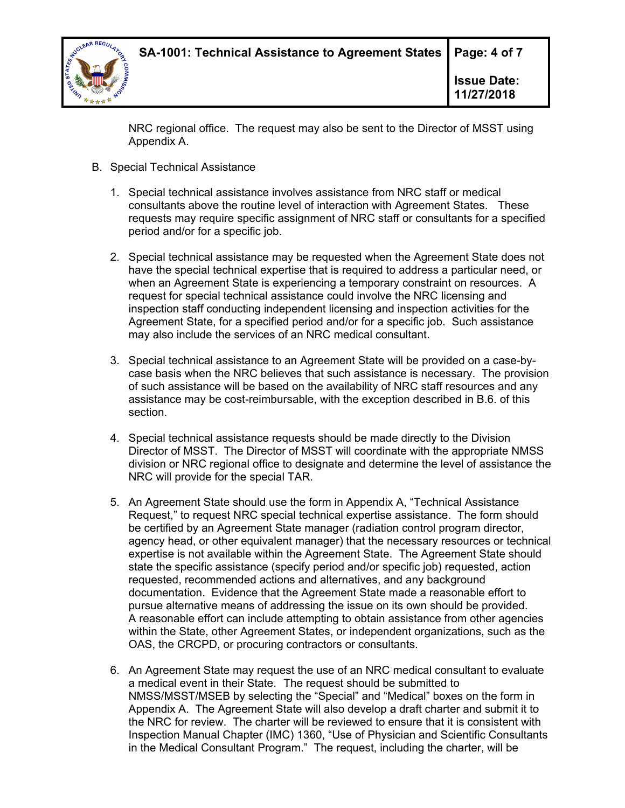

NRC regional office. The request may also be sent to the Director of MSST using Appendix A.

- B. Special Technical Assistance
	- 1. Special technical assistance involves assistance from NRC staff or medical consultants above the routine level of interaction with Agreement States. These requests may require specific assignment of NRC staff or consultants for a specified period and/or for a specific job.
	- 2. Special technical assistance may be requested when the Agreement State does not have the special technical expertise that is required to address a particular need, or when an Agreement State is experiencing a temporary constraint on resources. A request for special technical assistance could involve the NRC licensing and inspection staff conducting independent licensing and inspection activities for the Agreement State, for a specified period and/or for a specific job. Such assistance may also include the services of an NRC medical consultant.
	- 3. Special technical assistance to an Agreement State will be provided on a case-bycase basis when the NRC believes that such assistance is necessary. The provision of such assistance will be based on the availability of NRC staff resources and any assistance may be cost-reimbursable, with the exception described in B.6. of this section.
	- 4. Special technical assistance requests should be made directly to the Division Director of MSST. The Director of MSST will coordinate with the appropriate NMSS division or NRC regional office to designate and determine the level of assistance the NRC will provide for the special TAR.
	- 5. An Agreement State should use the form in Appendix A, "Technical Assistance Request," to request NRC special technical expertise assistance. The form should be certified by an Agreement State manager (radiation control program director, agency head, or other equivalent manager) that the necessary resources or technical expertise is not available within the Agreement State. The Agreement State should state the specific assistance (specify period and/or specific job) requested, action requested, recommended actions and alternatives, and any background documentation. Evidence that the Agreement State made a reasonable effort to pursue alternative means of addressing the issue on its own should be provided. A reasonable effort can include attempting to obtain assistance from other agencies within the State, other Agreement States, or independent organizations, such as the OAS, the CRCPD, or procuring contractors or consultants.
	- 6. An Agreement State may request the use of an NRC medical consultant to evaluate a medical event in their State. The request should be submitted to NMSS/MSST/MSEB by selecting the "Special" and "Medical" boxes on the form in Appendix A. The Agreement State will also develop a draft charter and submit it to the NRC for review. The charter will be reviewed to ensure that it is consistent with Inspection Manual Chapter (IMC) 1360, "Use of Physician and Scientific Consultants in the Medical Consultant Program." The request, including the charter, will be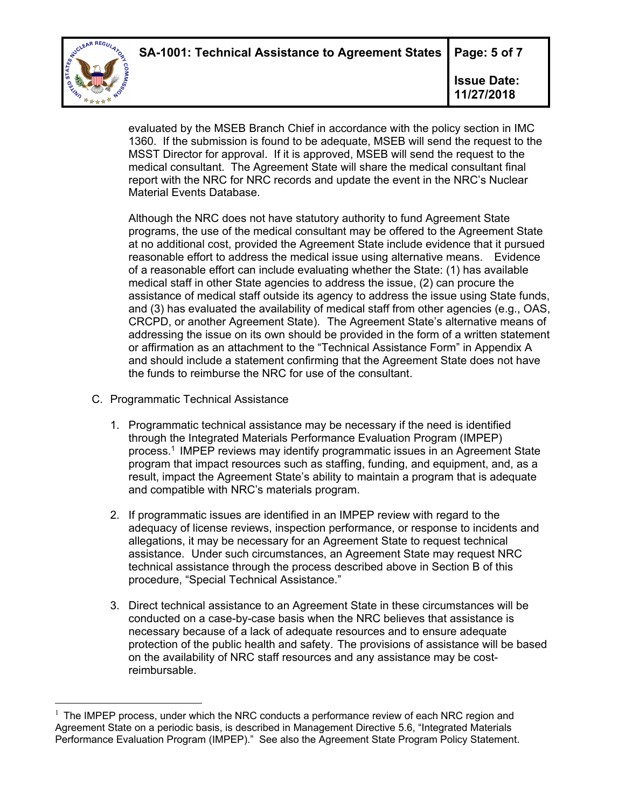**SA-1001: Technical Assistance to Agreement States | Page: 5 of 7** 



 $\overline{a}$ 

**Issue Date: 11/27/2018** 

evaluated by the MSEB Branch Chief in accordance with the policy section in IMC 1360. If the submission is found to be adequate, MSEB will send the request to the MSST Director for approval. If it is approved, MSEB will send the request to the medical consultant. The Agreement State will share the medical consultant final report with the NRC for NRC records and update the event in the NRC's Nuclear Material Events Database.

Although the NRC does not have statutory authority to fund Agreement State programs, the use of the medical consultant may be offered to the Agreement State at no additional cost, provided the Agreement State include evidence that it pursued reasonable effort to address the medical issue using alternative means. Evidence of a reasonable effort can include evaluating whether the State: (1) has available medical staff in other State agencies to address the issue, (2) can procure the assistance of medical staff outside its agency to address the issue using State funds, and (3) has evaluated the availability of medical staff from other agencies (e.g., OAS, CRCPD, or another Agreement State). The Agreement State's alternative means of addressing the issue on its own should be provided in the form of a written statement or affirmation as an attachment to the "Technical Assistance Form" in Appendix A and should include a statement confirming that the Agreement State does not have the funds to reimburse the NRC for use of the consultant.

- C. Programmatic Technical Assistance
	- 1. Programmatic technical assistance may be necessary if the need is identified through the Integrated Materials Performance Evaluation Program (IMPEP) process.1 IMPEP reviews may identify programmatic issues in an Agreement State program that impact resources such as staffing, funding, and equipment, and, as a result, impact the Agreement State's ability to maintain a program that is adequate and compatible with NRC's materials program.
	- 2. If programmatic issues are identified in an IMPEP review with regard to the adequacy of license reviews, inspection performance, or response to incidents and allegations, it may be necessary for an Agreement State to request technical assistance. Under such circumstances, an Agreement State may request NRC technical assistance through the process described above in Section B of this procedure, "Special Technical Assistance."
	- 3. Direct technical assistance to an Agreement State in these circumstances will be conducted on a case-by-case basis when the NRC believes that assistance is necessary because of a lack of adequate resources and to ensure adequate protection of the public health and safety. The provisions of assistance will be based on the availability of NRC staff resources and any assistance may be costreimbursable.

 $1$  The IMPEP process, under which the NRC conducts a performance review of each NRC region and Agreement State on a periodic basis, is described in Management Directive 5.6, "Integrated Materials Performance Evaluation Program (IMPEP)." See also the Agreement State Program Policy Statement.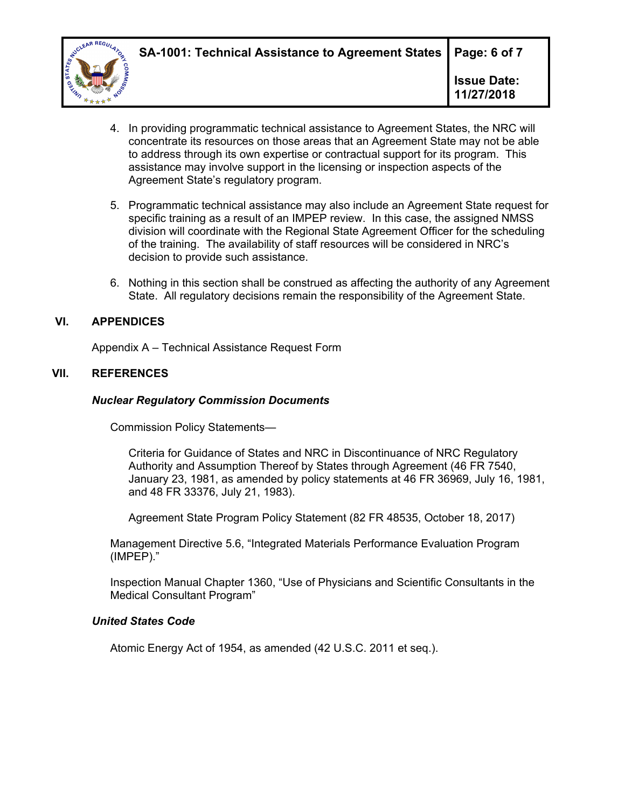

- 4. In providing programmatic technical assistance to Agreement States, the NRC will concentrate its resources on those areas that an Agreement State may not be able to address through its own expertise or contractual support for its program. This assistance may involve support in the licensing or inspection aspects of the Agreement State's regulatory program.
- 5. Programmatic technical assistance may also include an Agreement State request for specific training as a result of an IMPEP review. In this case, the assigned NMSS division will coordinate with the Regional State Agreement Officer for the scheduling of the training. The availability of staff resources will be considered in NRC's decision to provide such assistance.
- 6. Nothing in this section shall be construed as affecting the authority of any Agreement State. All regulatory decisions remain the responsibility of the Agreement State.

## **VI. APPENDICES**

Appendix A – Technical Assistance Request Form

## **VII. REFERENCES**

#### *Nuclear Regulatory Commission Documents*

Commission Policy Statements—

Criteria for Guidance of States and NRC in Discontinuance of NRC Regulatory Authority and Assumption Thereof by States through Agreement (46 FR 7540, January 23, 1981, as amended by policy statements at 46 FR 36969, July 16, 1981, and 48 FR 33376, July 21, 1983).

Agreement State Program Policy Statement (82 FR 48535, October 18, 2017)

Management Directive 5.6, "Integrated Materials Performance Evaluation Program (IMPEP)."

Inspection Manual Chapter 1360, "Use of Physicians and Scientific Consultants in the Medical Consultant Program"

#### *United States Code*

Atomic Energy Act of 1954, as amended (42 U.S.C. 2011 et seq.).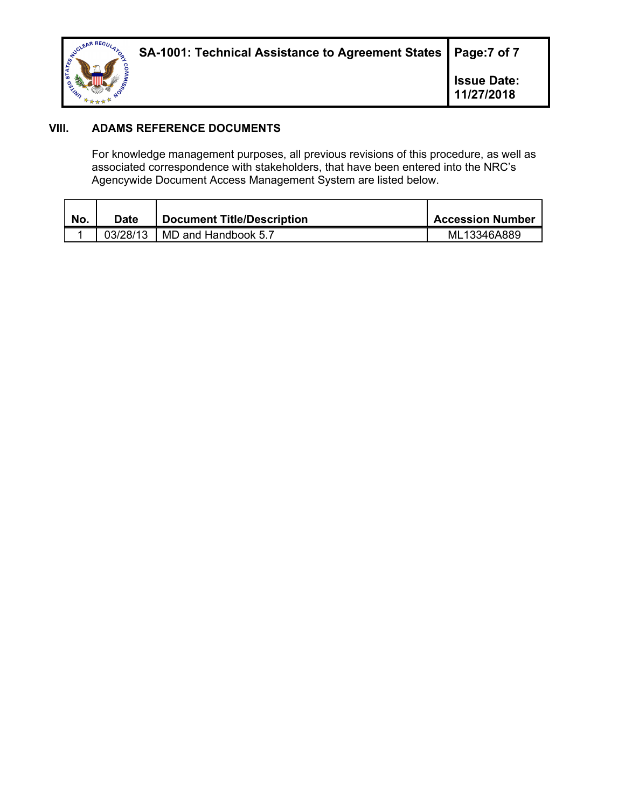

# **VIII. ADAMS REFERENCE DOCUMENTS**

For knowledge management purposes, all previous revisions of this procedure, as well as associated correspondence with stakeholders, that have been entered into the NRC's Agencywide Document Access Management System are listed below.

| No. | Date     | <b>Document Title/Description</b> | Accession Number |
|-----|----------|-----------------------------------|------------------|
|     | 03/28/13 | MD and Handbook 5.7               | ML13346A889      |